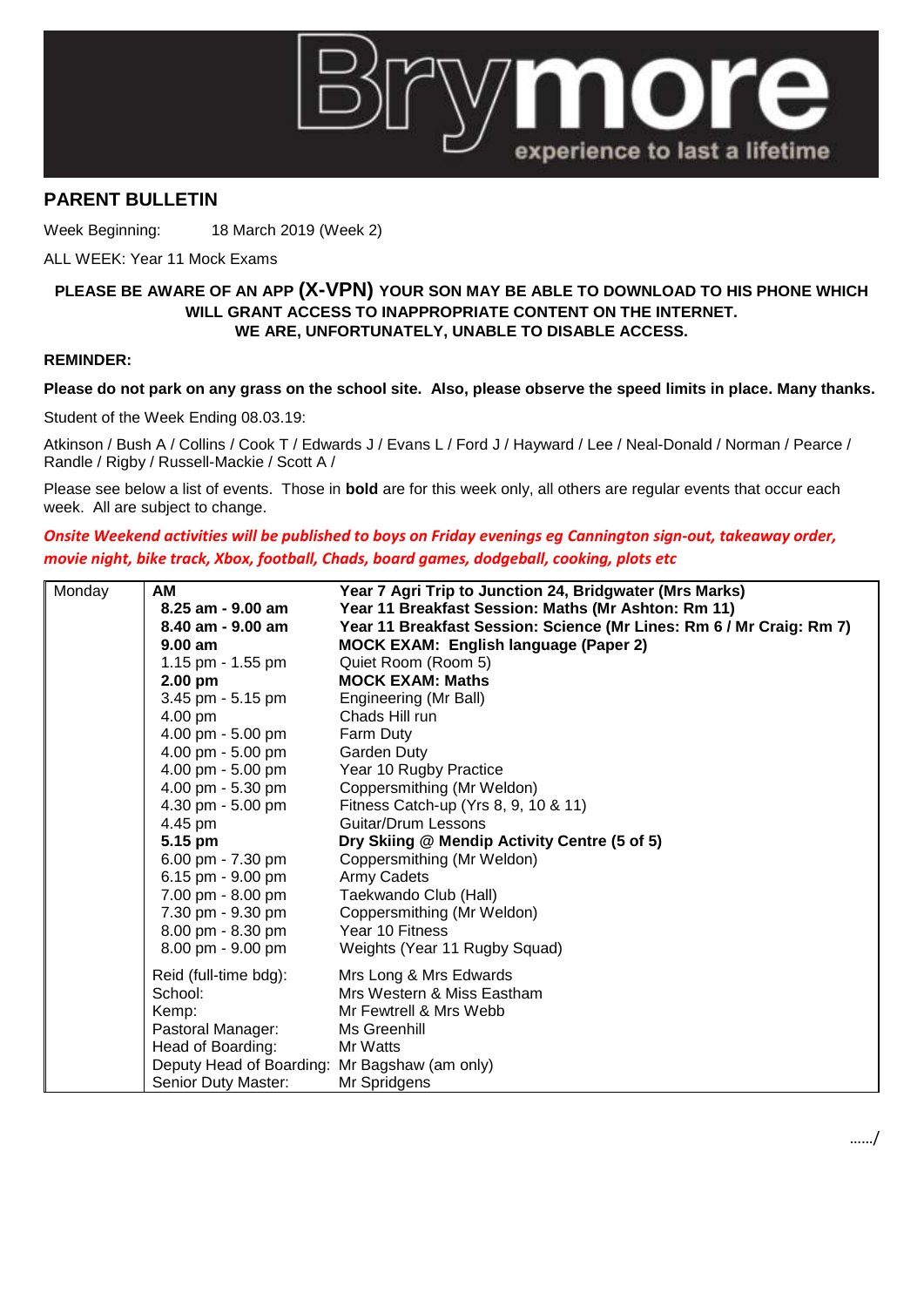

## **PARENT BULLETIN**

Week Beginning: 18 March 2019 (Week 2)

ALL WEEK: Year 11 Mock Exams

## **PLEASE BE AWARE OF AN APP (X-VPN) YOUR SON MAY BE ABLE TO DOWNLOAD TO HIS PHONE WHICH WILL GRANT ACCESS TO INAPPROPRIATE CONTENT ON THE INTERNET. WE ARE, UNFORTUNATELY, UNABLE TO DISABLE ACCESS.**

## **REMINDER:**

## **Please do not park on any grass on the school site. Also, please observe the speed limits in place. Many thanks.**

Student of the Week Ending 08.03.19:

Atkinson / Bush A / Collins / Cook T / Edwards J / Evans L / Ford J / Hayward / Lee / Neal-Donald / Norman / Pearce / Randle / Rigby / Russell-Mackie / Scott A /

Please see below a list of events. Those in **bold** are for this week only, all others are regular events that occur each week. All are subject to change.

*Onsite Weekend activities will be published to boys on Friday evenings eg Cannington sign-out, takeaway order, movie night, bike track, Xbox, football, Chads, board games, dodgeball, cooking, plots etc*

| Monday | AM                                            | Year 7 Agri Trip to Junction 24, Bridgwater (Mrs Marks)              |
|--------|-----------------------------------------------|----------------------------------------------------------------------|
|        | 8.25 am - 9.00 am                             | Year 11 Breakfast Session: Maths (Mr Ashton: Rm 11)                  |
|        | 8.40 am - 9.00 am                             | Year 11 Breakfast Session: Science (Mr Lines: Rm 6 / Mr Craig: Rm 7) |
|        | 9.00 am                                       | <b>MOCK EXAM: English language (Paper 2)</b>                         |
|        | 1.15 pm $-$ 1.55 pm                           | Quiet Room (Room 5)                                                  |
|        | 2.00 pm                                       | <b>MOCK EXAM: Maths</b>                                              |
|        | 3.45 pm - 5.15 pm                             | Engineering (Mr Ball)                                                |
|        | 4.00 pm                                       | Chads Hill run                                                       |
|        | 4.00 pm - 5.00 pm                             | Farm Duty                                                            |
|        | 4.00 pm - 5.00 pm                             | Garden Duty                                                          |
|        | 4.00 pm - 5.00 pm                             | Year 10 Rugby Practice                                               |
|        | 4.00 pm - 5.30 pm                             | Coppersmithing (Mr Weldon)                                           |
|        | 4.30 pm - 5.00 pm                             | Fitness Catch-up (Yrs 8, 9, 10 & 11)                                 |
|        | 4.45 pm                                       | Guitar/Drum Lessons                                                  |
|        | 5.15 pm                                       | Dry Skiing @ Mendip Activity Centre (5 of 5)                         |
|        | $6.00 \text{ pm} - 7.30 \text{ pm}$           | Coppersmithing (Mr Weldon)                                           |
|        | 6.15 pm - 9.00 pm                             | <b>Army Cadets</b>                                                   |
|        | 7.00 pm - 8.00 pm                             | Taekwando Club (Hall)                                                |
|        | 7.30 pm - 9.30 pm                             | Coppersmithing (Mr Weldon)                                           |
|        | 8.00 pm - 8.30 pm                             | Year 10 Fitness                                                      |
|        | 8.00 pm - 9.00 pm                             | Weights (Year 11 Rugby Squad)                                        |
|        | Reid (full-time bdg):                         | Mrs Long & Mrs Edwards                                               |
|        | School:                                       | Mrs Western & Miss Eastham                                           |
|        | Kemp:                                         | Mr Fewtrell & Mrs Webb                                               |
|        | Pastoral Manager:                             | Ms Greenhill                                                         |
|        | Head of Boarding:                             | Mr Watts                                                             |
|        | Deputy Head of Boarding: Mr Bagshaw (am only) |                                                                      |
|        | Senior Duty Master:                           | Mr Spridgens                                                         |
|        |                                               |                                                                      |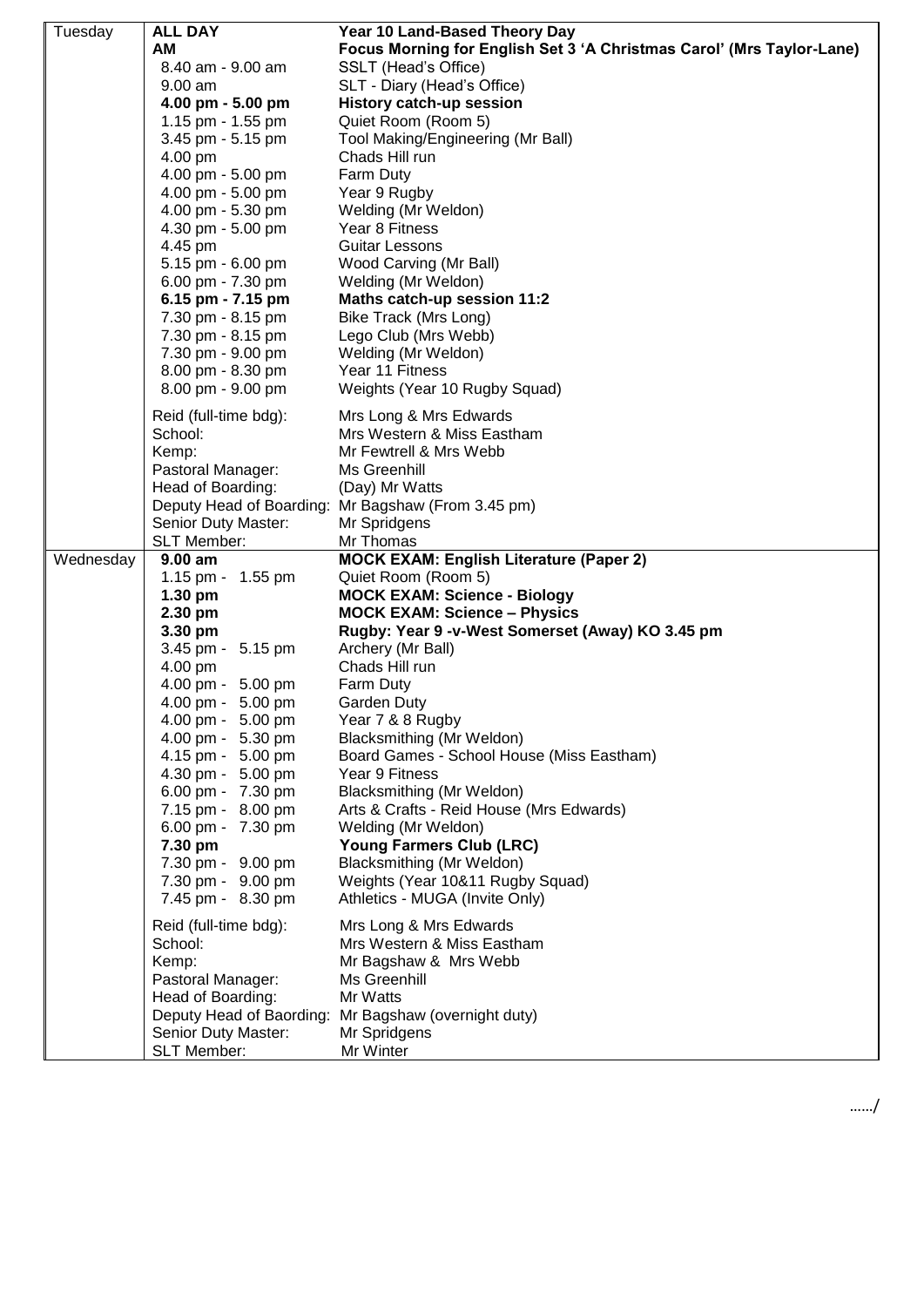| Tuesday   | <b>ALL DAY</b>                         | Year 10 Land-Based Theory Day                                         |
|-----------|----------------------------------------|-----------------------------------------------------------------------|
|           | АM                                     | Focus Morning for English Set 3 'A Christmas Carol' (Mrs Taylor-Lane) |
|           | 8.40 am - 9.00 am                      | SSLT (Head's Office)                                                  |
|           | 9.00 am                                | SLT - Diary (Head's Office)                                           |
|           | 4.00 pm - 5.00 pm                      | <b>History catch-up session</b>                                       |
|           | 1.15 pm - 1.55 pm                      | Quiet Room (Room 5)                                                   |
|           | 3.45 pm - 5.15 pm                      | Tool Making/Engineering (Mr Ball)                                     |
|           | 4.00 pm                                | Chads Hill run                                                        |
|           | 4.00 pm - 5.00 pm                      | Farm Duty                                                             |
|           | 4.00 pm - 5.00 pm                      | Year 9 Rugby                                                          |
|           | 4.00 pm - 5.30 pm                      | Welding (Mr Weldon)                                                   |
|           | 4.30 pm - 5.00 pm                      | Year 8 Fitness                                                        |
|           | 4.45 pm                                | <b>Guitar Lessons</b>                                                 |
|           | 5.15 pm - 6.00 pm                      | Wood Carving (Mr Ball)                                                |
|           | 6.00 pm - 7.30 pm                      | Welding (Mr Weldon)                                                   |
|           | 6.15 pm - 7.15 pm                      | Maths catch-up session 11:2                                           |
|           | 7.30 pm - 8.15 pm                      | Bike Track (Mrs Long)                                                 |
|           | 7.30 pm - 8.15 pm                      | Lego Club (Mrs Webb)                                                  |
|           | 7.30 pm - 9.00 pm                      | Welding (Mr Weldon)                                                   |
|           | 8.00 pm - 8.30 pm                      | Year 11 Fitness                                                       |
|           | 8.00 pm - 9.00 pm                      | Weights (Year 10 Rugby Squad)                                         |
|           | Reid (full-time bdg):                  | Mrs Long & Mrs Edwards                                                |
|           | School:                                | Mrs Western & Miss Eastham                                            |
|           | Kemp:                                  | Mr Fewtrell & Mrs Webb                                                |
|           | Pastoral Manager:                      | Ms Greenhill                                                          |
|           | Head of Boarding:                      | (Day) Mr Watts                                                        |
|           |                                        | Deputy Head of Boarding: Mr Bagshaw (From 3.45 pm)                    |
|           | Senior Duty Master:                    | Mr Spridgens                                                          |
|           | <b>SLT Member:</b>                     | Mr Thomas                                                             |
| Wednesday | 9.00 am                                | <b>MOCK EXAM: English Literature (Paper 2)</b>                        |
|           | 1.15 pm - 1.55 pm                      | Quiet Room (Room 5)                                                   |
|           | 1.30 pm                                | <b>MOCK EXAM: Science - Biology</b>                                   |
|           | 2.30 pm                                | <b>MOCK EXAM: Science - Physics</b>                                   |
|           | 3.30 pm                                | Rugby: Year 9 - v-West Somerset (Away) KO 3.45 pm                     |
|           | 3.45 pm - 5.15 pm                      | Archery (Mr Ball)                                                     |
|           | 4.00 pm                                | Chads Hill run                                                        |
|           | 4.00 pm - 5.00 pm                      | Farm Duty                                                             |
|           | 4.00 pm - 5.00 pm                      | Garden Duty                                                           |
|           | 4.00 pm - 5.00 pm                      | Year 7 & 8 Rugby                                                      |
|           | 4.00 pm - 5.30 pm                      | Blacksmithing (Mr Weldon)                                             |
|           | 4.15 pm - 5.00 pm                      | Board Games - School House (Miss Eastham)<br>Year 9 Fitness           |
|           | 4.30 pm - 5.00 pm<br>6.00 pm - 7.30 pm |                                                                       |
|           | 7.15 pm - 8.00 pm                      | Blacksmithing (Mr Weldon)<br>Arts & Crafts - Reid House (Mrs Edwards) |
|           | 6.00 pm - 7.30 pm                      | Welding (Mr Weldon)                                                   |
|           | 7.30 pm                                | Young Farmers Club (LRC)                                              |
|           | 7.30 pm - 9.00 pm                      | Blacksmithing (Mr Weldon)                                             |
|           | 7.30 pm - 9.00 pm                      | Weights (Year 10&11 Rugby Squad)                                      |
|           | 7.45 pm - 8.30 pm                      | Athletics - MUGA (Invite Only)                                        |
|           |                                        |                                                                       |
|           | Reid (full-time bdg):                  | Mrs Long & Mrs Edwards                                                |
|           | School:                                | Mrs Western & Miss Eastham                                            |
|           | Kemp:                                  | Mr Bagshaw & Mrs Webb<br>Ms Greenhill                                 |
|           | Pastoral Manager:<br>Head of Boarding: | Mr Watts                                                              |
|           |                                        | Deputy Head of Baording: Mr Bagshaw (overnight duty)                  |
|           | Senior Duty Master:                    | Mr Spridgens                                                          |
|           | SLT Member:                            | Mr Winter                                                             |
|           |                                        |                                                                       |

……/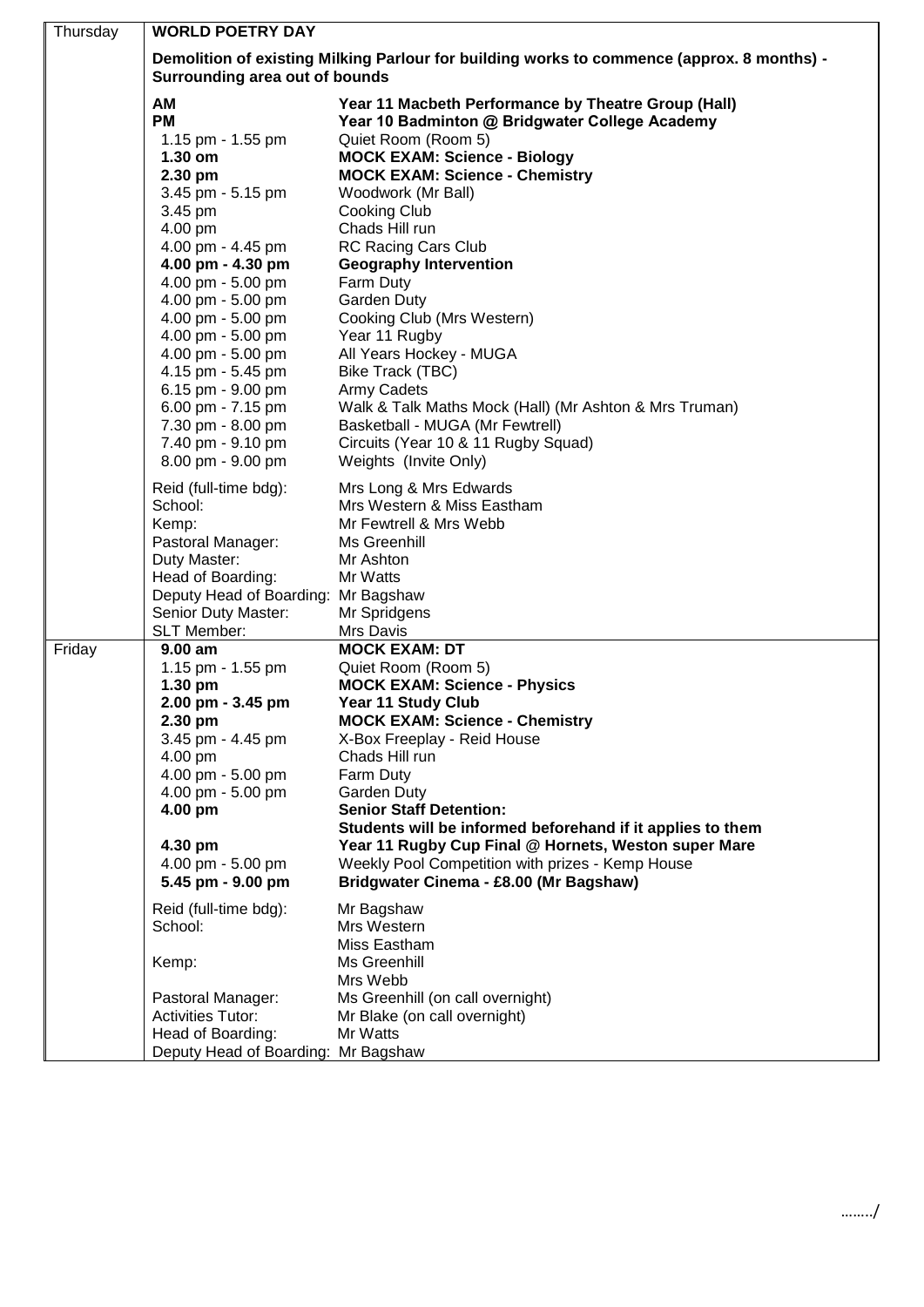| Thursday | <b>WORLD POETRY DAY</b>                                                                                                                                                                                                                                                                                                                                                                       |                                                                                                                                                                                                                                                                                                                                                                                                                                                                                                                                                                                                                                                         |  |
|----------|-----------------------------------------------------------------------------------------------------------------------------------------------------------------------------------------------------------------------------------------------------------------------------------------------------------------------------------------------------------------------------------------------|---------------------------------------------------------------------------------------------------------------------------------------------------------------------------------------------------------------------------------------------------------------------------------------------------------------------------------------------------------------------------------------------------------------------------------------------------------------------------------------------------------------------------------------------------------------------------------------------------------------------------------------------------------|--|
|          | Demolition of existing Milking Parlour for building works to commence (approx. 8 months) -<br>Surrounding area out of bounds                                                                                                                                                                                                                                                                  |                                                                                                                                                                                                                                                                                                                                                                                                                                                                                                                                                                                                                                                         |  |
|          | <b>AM</b><br><b>PM</b><br>1.15 pm - 1.55 pm<br>1.30 om<br>2.30 pm<br>3.45 pm - 5.15 pm<br>3.45 pm<br>4.00 pm<br>4.00 pm - 4.45 pm<br>4.00 pm - 4.30 pm<br>4.00 pm - 5.00 pm<br>4.00 pm - 5.00 pm<br>4.00 pm - 5.00 pm<br>4.00 pm - 5.00 pm<br>4.00 pm - 5.00 pm<br>4.15 pm - 5.45 pm<br>6.15 pm - 9.00 pm<br>6.00 pm - 7.15 pm<br>7.30 pm - 8.00 pm<br>7.40 pm - 9.10 pm<br>8.00 pm - 9.00 pm | Year 11 Macbeth Performance by Theatre Group (Hall)<br>Year 10 Badminton @ Bridgwater College Academy<br>Quiet Room (Room 5)<br><b>MOCK EXAM: Science - Biology</b><br><b>MOCK EXAM: Science - Chemistry</b><br>Woodwork (Mr Ball)<br><b>Cooking Club</b><br>Chads Hill run<br><b>RC Racing Cars Club</b><br><b>Geography Intervention</b><br>Farm Duty<br>Garden Duty<br>Cooking Club (Mrs Western)<br>Year 11 Rugby<br>All Years Hockey - MUGA<br>Bike Track (TBC)<br><b>Army Cadets</b><br>Walk & Talk Maths Mock (Hall) (Mr Ashton & Mrs Truman)<br>Basketball - MUGA (Mr Fewtrell)<br>Circuits (Year 10 & 11 Rugby Squad)<br>Weights (Invite Only) |  |
|          | Reid (full-time bdg):<br>School:<br>Kemp:<br>Pastoral Manager:<br>Duty Master:<br>Head of Boarding:<br>Deputy Head of Boarding: Mr Bagshaw<br>Senior Duty Master:<br>SLT Member:                                                                                                                                                                                                              | Mrs Long & Mrs Edwards<br>Mrs Western & Miss Eastham<br>Mr Fewtrell & Mrs Webb<br>Ms Greenhill<br>Mr Ashton<br>Mr Watts<br>Mr Spridgens<br>Mrs Davis                                                                                                                                                                                                                                                                                                                                                                                                                                                                                                    |  |
| Friday   | $9.00$ am<br>1.15 pm - 1.55 pm<br>1.30 pm<br>2.00 pm - 3.45 pm<br>2.30 pm<br>3.45 pm - 4.45 pm<br>4.00 pm<br>4.00 pm - 5.00 pm<br>4.00 pm - 5.00 pm<br>4.00 pm<br>4.30 pm<br>4.00 pm - 5.00 pm<br>5.45 pm - 9.00 pm                                                                                                                                                                           | <b>MOCK EXAM: DT</b><br>Quiet Room (Room 5)<br><b>MOCK EXAM: Science - Physics</b><br><b>Year 11 Study Club</b><br><b>MOCK EXAM: Science - Chemistry</b><br>X-Box Freeplay - Reid House<br>Chads Hill run<br>Farm Duty<br>Garden Duty<br><b>Senior Staff Detention:</b><br>Students will be informed beforehand if it applies to them<br>Year 11 Rugby Cup Final @ Hornets, Weston super Mare<br>Weekly Pool Competition with prizes - Kemp House<br>Bridgwater Cinema - £8.00 (Mr Bagshaw)                                                                                                                                                             |  |
|          | Reid (full-time bdg):<br>School:<br>Kemp:<br>Pastoral Manager:<br><b>Activities Tutor:</b><br>Head of Boarding:<br>Deputy Head of Boarding: Mr Bagshaw                                                                                                                                                                                                                                        | Mr Bagshaw<br>Mrs Western<br>Miss Eastham<br>Ms Greenhill<br>Mrs Webb<br>Ms Greenhill (on call overnight)<br>Mr Blake (on call overnight)<br>Mr Watts                                                                                                                                                                                                                                                                                                                                                                                                                                                                                                   |  |